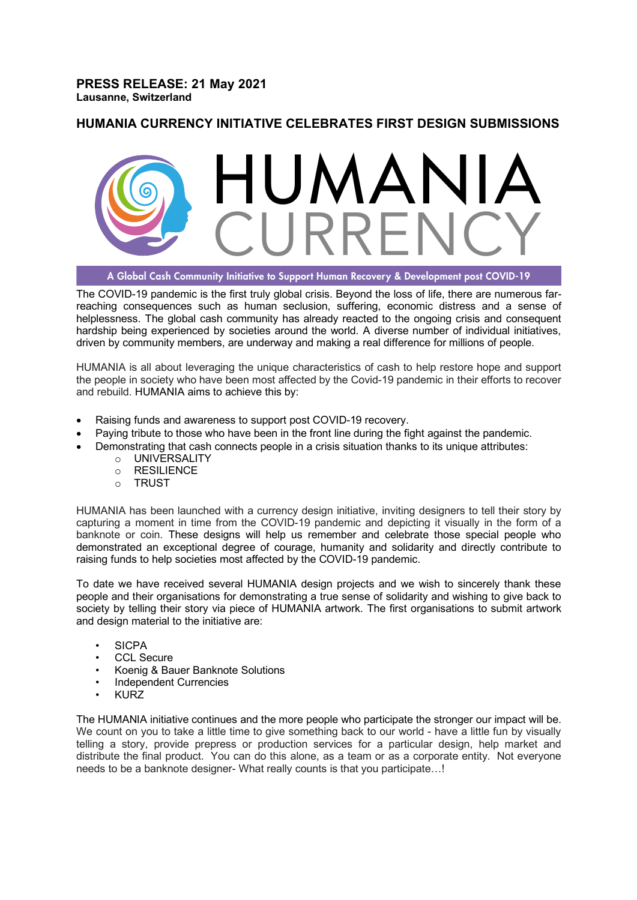## **PRESS RELEASE: 21 May 2021 Lausanne, Switzerland**

# **HUMANIA CURRENCY INITIATIVE CELEBRATES FIRST DESIGN SUBMISSIONS**



The HUMANIA initiative continues and the more people who participate the stronger our impact will be. We count on you to take a little time to give something back to our world - have a little fun by visually telling a story, provide prepress or production services for a particular design, help market and distribute the final product. You can do this alone, as a team or as a corporate entity. Not everyone needs to be a banknote designer- What really counts is that you participate…!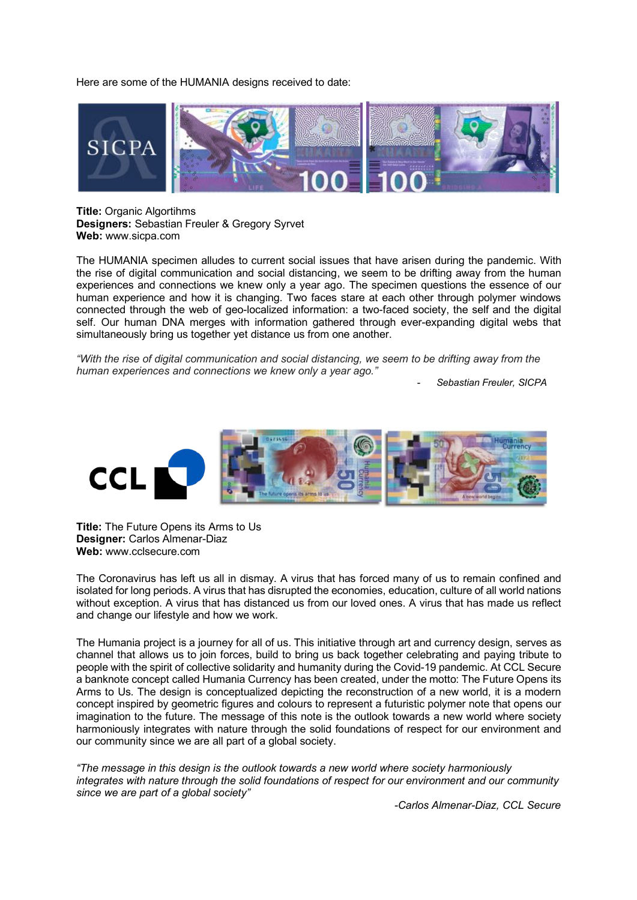Here are some of the HUMANIA designs received to date:



**Title:** Organic Algortihms **Designers:** Sebastian Freuler & Gregory Syrvet **Web:** www.sicpa.com

The HUMANIA specimen alludes to current social issues that have arisen during the pandemic. With the rise of digital communication and social distancing, we seem to be drifting away from the human experiences and connections we knew only a year ago. The specimen questions the essence of our human experience and how it is changing. Two faces stare at each other through polymer windows connected through the web of geo-localized information: a two-faced society, the self and the digital self. Our human DNA merges with information gathered through ever-expanding digital webs that simultaneously bring us together yet distance us from one another.

*"With the rise of digital communication and social distancing, we seem to be drifting away from the human experiences and connections we knew only a year ago."*

- *Sebastian Freuler, SICPA*



**Title:** The Future Opens its Arms to Us **Designer:** Carlos Almenar-Diaz **Web:** www.cclsecure.com

The Coronavirus has left us all in dismay. A virus that has forced many of us to remain confined and isolated for long periods. A virus that has disrupted the economies, education, culture of all world nations without exception. A virus that has distanced us from our loved ones. A virus that has made us reflect and change our lifestyle and how we work.

The Humania project is a journey for all of us. This initiative through art and currency design, serves as channel that allows us to join forces, build to bring us back together celebrating and paying tribute to people with the spirit of collective solidarity and humanity during the Covid-19 pandemic. At CCL Secure a banknote concept called Humania Currency has been created, under the motto: The Future Opens its Arms to Us. The design is conceptualized depicting the reconstruction of a new world, it is a modern concept inspired by geometric figures and colours to represent a futuristic polymer note that opens our imagination to the future. The message of this note is the outlook towards a new world where society harmoniously integrates with nature through the solid foundations of respect for our environment and our community since we are all part of a global society.

*"The message in this design is the outlook towards a new world where society harmoniously integrates with nature through the solid foundations of respect for our environment and our community since we are part of a global society"*

 *-Carlos Almenar-Diaz, CCL Secure*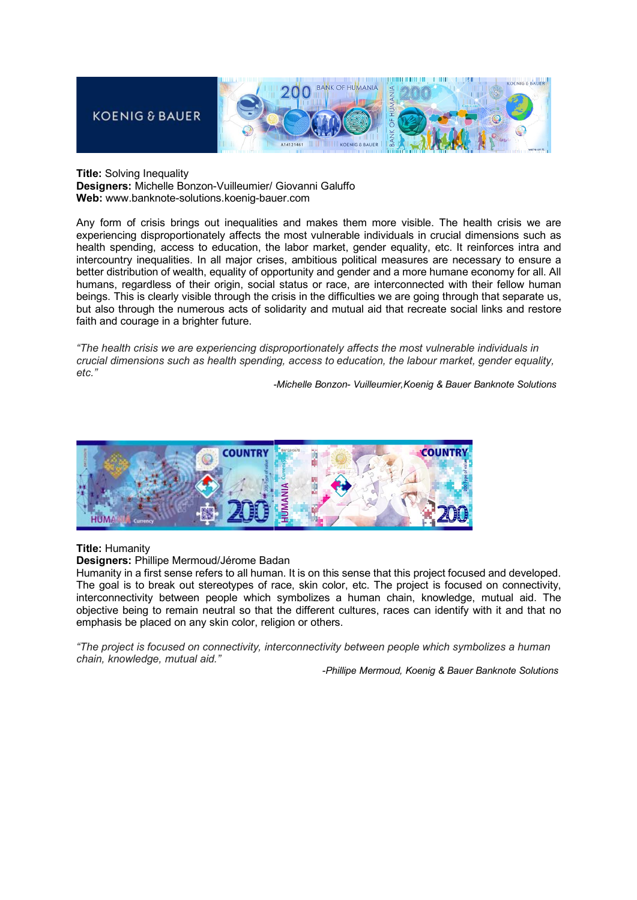

**Title:** Solving Inequality **Designers:** Michelle Bonzon-Vuilleumier/ Giovanni Galuffo **Web:** www.banknote-solutions.koenig-bauer.com

Any form of crisis brings out inequalities and makes them more visible. The health crisis we are experiencing disproportionately affects the most vulnerable individuals in crucial dimensions such as health spending, access to education, the labor market, gender equality, etc. It reinforces intra and intercountry inequalities. In all major crises, ambitious political measures are necessary to ensure a better distribution of wealth, equality of opportunity and gender and a more humane economy for all. All humans, regardless of their origin, social status or race, are interconnected with their fellow human beings. This is clearly visible through the crisis in the difficulties we are going through that separate us, but also through the numerous acts of solidarity and mutual aid that recreate social links and restore faith and courage in a brighter future.

*"The health crisis we are experiencing disproportionately affects the most vulnerable individuals in crucial dimensions such as health spending, access to education, the labour market, gender equality, etc."*

 *-Michelle Bonzon- Vuilleumier,Koenig & Bauer Banknote Solutions*



## **Title:** Humanity

#### **Designers:** Phillipe Mermoud/Jérome Badan

Humanity in a first sense refers to all human. It is on this sense that this project focused and developed. The goal is to break out stereotypes of race, skin color, etc. The project is focused on connectivity, interconnectivity between people which symbolizes a human chain, knowledge, mutual aid. The objective being to remain neutral so that the different cultures, races can identify with it and that no emphasis be placed on any skin color, religion or others.

*"The project is focused on connectivity, interconnectivity between people which symbolizes a human chain, knowledge, mutual aid."*

 *-Phillipe Mermoud, Koenig & Bauer Banknote Solutions*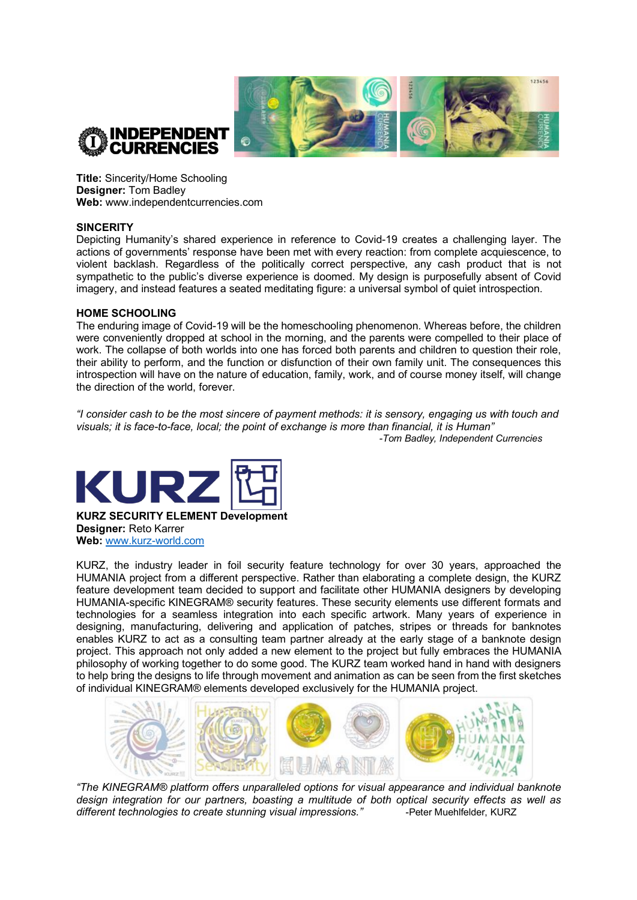



**Title:** Sincerity/Home Schooling **Designer:** Tom Badley **Web:** www.independentcurrencies.com

## **SINCERITY**

Depicting Humanity's shared experience in reference to Covid-19 creates a challenging layer. The actions of governments' response have been met with every reaction: from complete acquiescence, to violent backlash. Regardless of the politically correct perspective, any cash product that is not sympathetic to the public's diverse experience is doomed. My design is purposefully absent of Covid imagery, and instead features a seated meditating figure: a universal symbol of quiet introspection.

#### **HOME SCHOOLING**

The enduring image of Covid-19 will be the homeschooling phenomenon. Whereas before, the children were conveniently dropped at school in the morning, and the parents were compelled to their place of work. The collapse of both worlds into one has forced both parents and children to question their role, their ability to perform, and the function or disfunction of their own family unit. The consequences this introspection will have on the nature of education, family, work, and of course money itself, will change the direction of the world, forever.

*"I consider cash to be the most sincere of payment methods: it is sensory, engaging us with touch and visuals; it is face-to-face, local; the point of exchange is more than financial, it is Human" -Tom Badley, Independent Currencies*



**KURZ SECURITY ELEMENT Development Designer:** Reto Karrer **Web:** www.kurz-world.com

KURZ, the industry leader in foil security feature technology for over 30 years, approached the HUMANIA project from a different perspective. Rather than elaborating a complete design, the KURZ feature development team decided to support and facilitate other HUMANIA designers by developing HUMANIA-specific KINEGRAM® security features. These security elements use different formats and technologies for a seamless integration into each specific artwork. Many years of experience in designing, manufacturing, delivering and application of patches, stripes or threads for banknotes enables KURZ to act as a consulting team partner already at the early stage of a banknote design project. This approach not only added a new element to the project but fully embraces the HUMANIA philosophy of working together to do some good. The KURZ team worked hand in hand with designers to help bring the designs to life through movement and animation as can be seen from the first sketches of individual KINEGRAM® elements developed exclusively for the HUMANIA project.



*"The KINEGRAM® platform offers unparalleled options for visual appearance and individual banknote design integration for our partners, boasting a multitude of both optical security effects as well as*  different technologies to create stunning visual impressions." -Peter Muehlfelder, KURZ